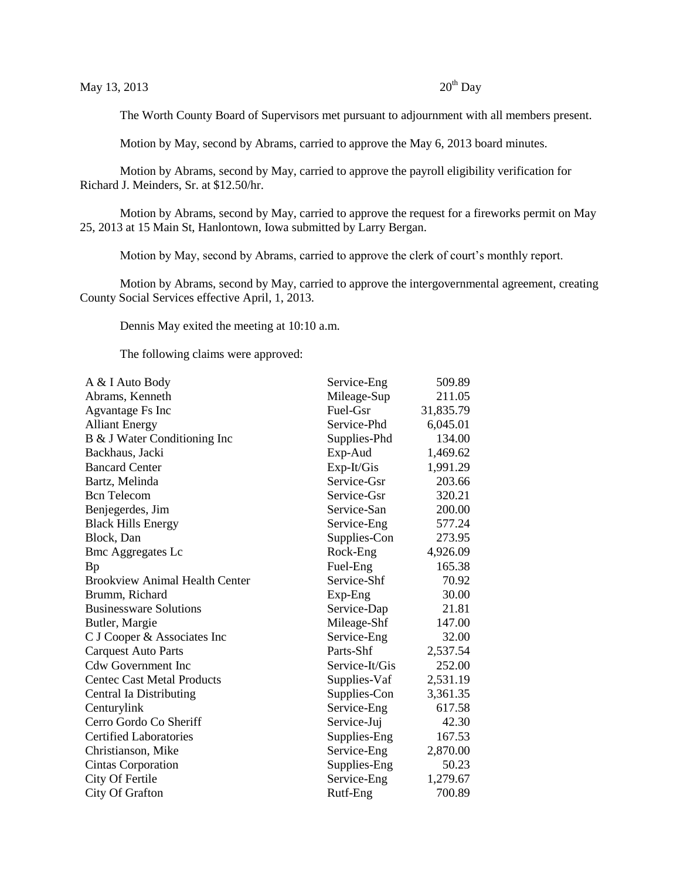The Worth County Board of Supervisors met pursuant to adjournment with all members present.

Motion by May, second by Abrams, carried to approve the May 6, 2013 board minutes.

Motion by Abrams, second by May, carried to approve the payroll eligibility verification for Richard J. Meinders, Sr. at \$12.50/hr.

Motion by Abrams, second by May, carried to approve the request for a fireworks permit on May 25, 2013 at 15 Main St, Hanlontown, Iowa submitted by Larry Bergan.

Motion by May, second by Abrams, carried to approve the clerk of court's monthly report.

Motion by Abrams, second by May, carried to approve the intergovernmental agreement, creating County Social Services effective April, 1, 2013.

Dennis May exited the meeting at 10:10 a.m.

The following claims were approved:

| A & I Auto Body                       | Service-Eng    | 509.89    |
|---------------------------------------|----------------|-----------|
| Abrams, Kenneth                       | Mileage-Sup    | 211.05    |
| <b>Agvantage Fs Inc</b>               | Fuel-Gsr       | 31,835.79 |
| <b>Alliant Energy</b>                 | Service-Phd    | 6,045.01  |
| B & J Water Conditioning Inc          | Supplies-Phd   | 134.00    |
| Backhaus, Jacki                       | Exp-Aud        | 1,469.62  |
| <b>Bancard Center</b>                 | Exp-It/Gis     | 1,991.29  |
| Bartz, Melinda                        | Service-Gsr    | 203.66    |
| <b>Bcn</b> Telecom                    | Service-Gsr    | 320.21    |
| Benjegerdes, Jim                      | Service-San    | 200.00    |
| <b>Black Hills Energy</b>             | Service-Eng    | 577.24    |
| Block, Dan                            | Supplies-Con   | 273.95    |
| <b>Bmc Aggregates Lc</b>              | Rock-Eng       | 4,926.09  |
| <b>Bp</b>                             | Fuel-Eng       | 165.38    |
| <b>Brookview Animal Health Center</b> | Service-Shf    | 70.92     |
| Brumm, Richard                        | Exp-Eng        | 30.00     |
| <b>Businessware Solutions</b>         | Service-Dap    | 21.81     |
| Butler, Margie                        | Mileage-Shf    | 147.00    |
| C J Cooper & Associates Inc           | Service-Eng    | 32.00     |
| <b>Carquest Auto Parts</b>            | Parts-Shf      | 2,537.54  |
| <b>Cdw Government Inc</b>             | Service-It/Gis | 252.00    |
| <b>Centec Cast Metal Products</b>     | Supplies-Vaf   | 2,531.19  |
| Central Ia Distributing               | Supplies-Con   | 3,361.35  |
| Centurylink                           | Service-Eng    | 617.58    |
| Cerro Gordo Co Sheriff                | Service-Juj    | 42.30     |
| <b>Certified Laboratories</b>         | Supplies-Eng   | 167.53    |
| Christianson, Mike                    | Service-Eng    | 2,870.00  |
| Cintas Corporation                    | Supplies-Eng   | 50.23     |
| City Of Fertile                       | Service-Eng    | 1,279.67  |
| <b>City Of Grafton</b>                | Rutf-Eng       | 700.89    |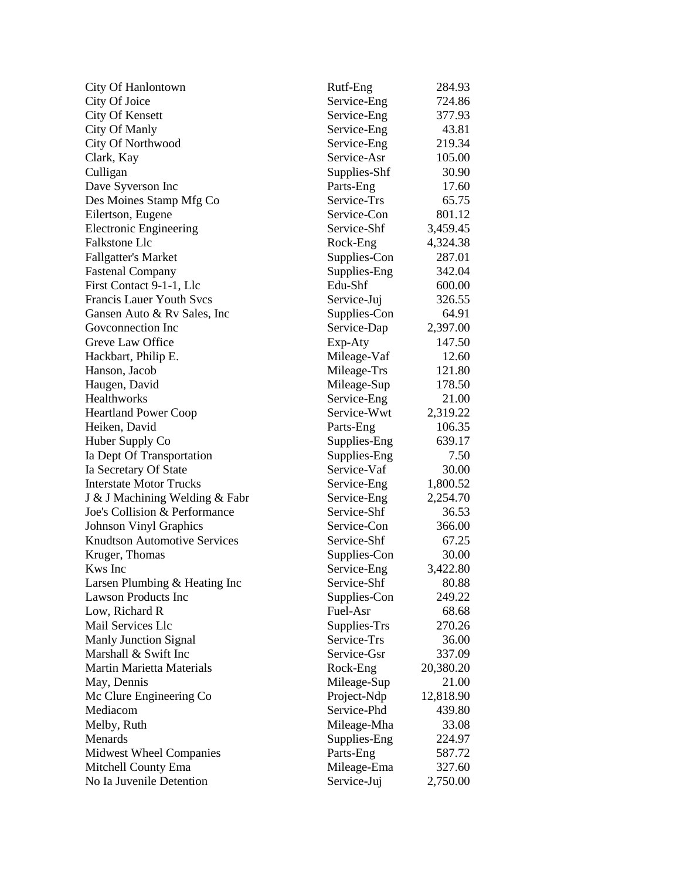| <b>City Of Hanlontown</b>           | Rutf-Eng     | 284.93    |
|-------------------------------------|--------------|-----------|
| City Of Joice                       | Service-Eng  | 724.86    |
| <b>City Of Kensett</b>              | Service-Eng  | 377.93    |
| City Of Manly                       | Service-Eng  | 43.81     |
| City Of Northwood                   | Service-Eng  | 219.34    |
| Clark, Kay                          | Service-Asr  | 105.00    |
| Culligan                            | Supplies-Shf | 30.90     |
| Dave Syverson Inc                   | Parts-Eng    | 17.60     |
| Des Moines Stamp Mfg Co             | Service-Trs  | 65.75     |
| Eilertson, Eugene                   | Service-Con  | 801.12    |
| <b>Electronic Engineering</b>       | Service-Shf  | 3,459.45  |
| <b>Falkstone Llc</b>                | Rock-Eng     | 4,324.38  |
| <b>Fallgatter's Market</b>          | Supplies-Con | 287.01    |
| <b>Fastenal Company</b>             | Supplies-Eng | 342.04    |
| First Contact 9-1-1, Llc            | Edu-Shf      | 600.00    |
| <b>Francis Lauer Youth Svcs</b>     | Service-Juj  | 326.55    |
| Gansen Auto & Ry Sales, Inc.        | Supplies-Con | 64.91     |
| Goveonnection Inc                   | Service-Dap  | 2,397.00  |
| Greve Law Office                    | Exp-Aty      | 147.50    |
| Hackbart, Philip E.                 | Mileage-Vaf  | 12.60     |
| Hanson, Jacob                       | Mileage-Trs  | 121.80    |
| Haugen, David                       | Mileage-Sup  | 178.50    |
| Healthworks                         | Service-Eng  | 21.00     |
| <b>Heartland Power Coop</b>         | Service-Wwt  | 2,319.22  |
| Heiken, David                       | Parts-Eng    | 106.35    |
| Huber Supply Co                     | Supplies-Eng | 639.17    |
| Ia Dept Of Transportation           | Supplies-Eng | 7.50      |
| Ia Secretary Of State               | Service-Vaf  | 30.00     |
| <b>Interstate Motor Trucks</b>      | Service-Eng  | 1,800.52  |
| J & J Machining Welding & Fabr      | Service-Eng  | 2,254.70  |
| Joe's Collision & Performance       | Service-Shf  | 36.53     |
| <b>Johnson Vinyl Graphics</b>       | Service-Con  | 366.00    |
| <b>Knudtson Automotive Services</b> | Service-Shf  | 67.25     |
| Kruger, Thomas                      | Supplies-Con | 30.00     |
| Kws Inc                             | Service-Eng  | 3,422.80  |
| Larsen Plumbing & Heating Inc       | Service-Shf  | 80.88     |
| Lawson Products Inc                 | Supplies-Con | 249.22    |
| Low, Richard R                      | Fuel-Asr     | 68.68     |
| Mail Services Llc                   | Supplies-Trs | 270.26    |
| <b>Manly Junction Signal</b>        | Service-Trs  | 36.00     |
| Marshall & Swift Inc                | Service-Gsr  | 337.09    |
| <b>Martin Marietta Materials</b>    | Rock-Eng     | 20,380.20 |
| May, Dennis                         | Mileage-Sup  | 21.00     |
| Mc Clure Engineering Co             | Project-Ndp  | 12,818.90 |
| Mediacom                            | Service-Phd  | 439.80    |
| Melby, Ruth                         | Mileage-Mha  | 33.08     |
| Menards                             | Supplies-Eng | 224.97    |
| Midwest Wheel Companies             | Parts-Eng    | 587.72    |
| Mitchell County Ema                 | Mileage-Ema  | 327.60    |
| No Ia Juvenile Detention            | Service-Juj  | 2,750.00  |
|                                     |              |           |